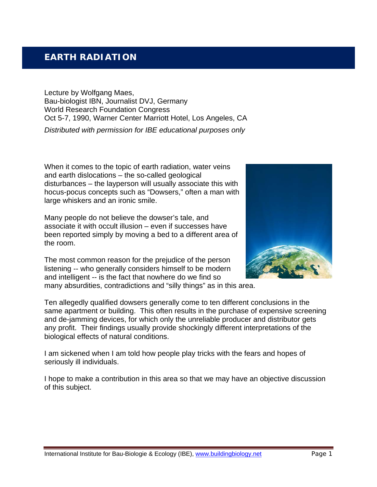# **EARTH RADIATION**

Lecture by Wolfgang Maes, Bau-biologist IBN, Journalist DVJ, Germany World Research Foundation Congress Oct 5-7, 1990, Warner Center Marriott Hotel, Los Angeles, CA *Distributed with permission for IBE educational purposes only*

When it comes to the topic of earth radiation, water veins and earth dislocations – the so-called geological disturbances – the layperson will usually associate this with hocus-pocus concepts such as "Dowsers," often a man with large whiskers and an ironic smile.

Many people do not believe the dowser's tale, and associate it with occult illusion – even if successes have been reported simply by moving a bed to a different area of the room.

The most common reason for the prejudice of the person listening -- who generally considers himself to be modern and intelligent -- is the fact that nowhere do we find so many absurdities, contradictions and "silly things" as in this area.



Ten allegedly qualified dowsers generally come to ten different conclusions in the same apartment or building. This often results in the purchase of expensive screening and de-jamming devices, for which only the unreliable producer and distributor gets any profit. Their findings usually provide shockingly different interpretations of the biological effects of natural conditions.

I am sickened when I am told how people play tricks with the fears and hopes of seriously ill individuals.

I hope to make a contribution in this area so that we may have an objective discussion of this subject.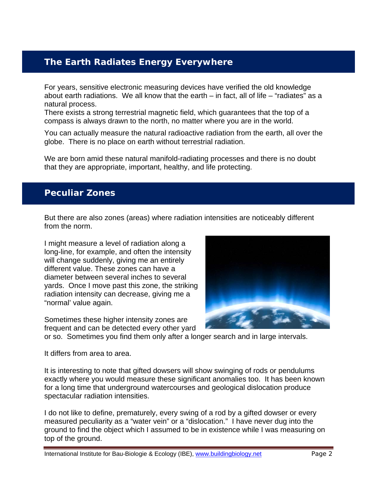# **The Earth Radiates Energy Everywhere**

For years, sensitive electronic measuring devices have verified the old knowledge about earth radiations. We all know that the earth – in fact, all of life – "radiates" as a natural process.

There exists a strong terrestrial magnetic field, which guarantees that the top of a compass is always drawn to the north, no matter where you are in the world.

You can actually measure the natural radioactive radiation from the earth, all over the globe. There is no place on earth without terrestrial radiation.

We are born amid these natural manifold-radiating processes and there is no doubt that they are appropriate, important, healthy, and life protecting.

## **Peculiar Zones**

But there are also zones (areas) where radiation intensities are noticeably different from the norm.

I might measure a level of radiation along a long-line, for example, and often the intensity will change suddenly, giving me an entirely different value. These zones can have a diameter between several inches to several yards. Once I move past this zone, the striking radiation intensity can decrease, giving me a "normal' value again.

Sometimes these higher intensity zones are frequent and can be detected every other yard



or so. Sometimes you find them only after a longer search and in large intervals.

It differs from area to area.

It is interesting to note that gifted dowsers will show swinging of rods or pendulums exactly where you would measure these significant anomalies too. It has been known for a long time that underground watercourses and geological dislocation produce spectacular radiation intensities.

I do not like to define, prematurely, every swing of a rod by a gifted dowser or every measured peculiarity as a "water vein" or a "dislocation." I have never dug into the ground to find the object which I assumed to be in existence while I was measuring on top of the ground.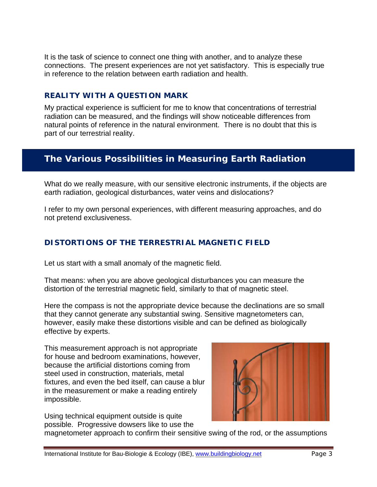It is the task of science to connect one thing with another, and to analyze these connections. The present experiences are not yet satisfactory. This is especially true in reference to the relation between earth radiation and health.

### **REALITY WITH A QUESTION MARK**

My practical experience is sufficient for me to know that concentrations of terrestrial radiation can be measured, and the findings will show noticeable differences from natural points of reference in the natural environment. There is no doubt that this is part of our terrestrial reality.

# **The Various Possibilities in Measuring Earth Radiation**

What do we really measure, with our sensitive electronic instruments, if the objects are earth radiation, geological disturbances, water veins and dislocations?

I refer to my own personal experiences, with different measuring approaches, and do not pretend exclusiveness.

## **DISTORTIONS OF THE TERRESTRIAL MAGNETIC FIELD**

Let us start with a small anomaly of the magnetic field.

That means: when you are above geological disturbances you can measure the distortion of the terrestrial magnetic field, similarly to that of magnetic steel.

Here the compass is not the appropriate device because the declinations are so small that they cannot generate any substantial swing. Sensitive magnetometers can, however, easily make these distortions visible and can be defined as biologically effective by experts.

This measurement approach is not appropriate for house and bedroom examinations, however, because the artificial distortions coming from steel used in construction, materials, metal fixtures, and even the bed itself, can cause a blur in the measurement or make a reading entirely impossible.

Using technical equipment outside is quite possible. Progressive dowsers like to use the



magnetometer approach to confirm their sensitive swing of the rod, or the assumptions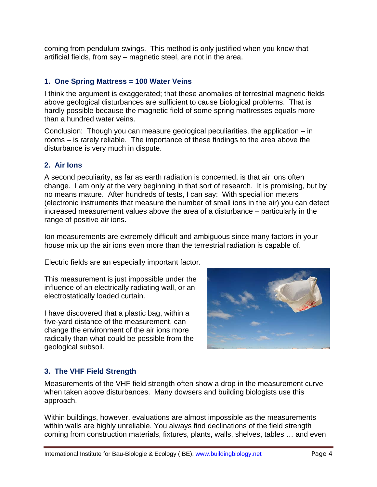coming from pendulum swings. This method is only justified when you know that artificial fields, from say – magnetic steel, are not in the area.

#### **1. One Spring Mattress = 100 Water Veins**

I think the argument is exaggerated; that these anomalies of terrestrial magnetic fields above geological disturbances are sufficient to cause biological problems. That is hardly possible because the magnetic field of some spring mattresses equals more than a hundred water veins.

Conclusion: Though you can measure geological peculiarities, the application – in rooms – is rarely reliable. The importance of these findings to the area above the disturbance is very much in dispute.

#### **2. Air Ions**

A second peculiarity, as far as earth radiation is concerned, is that air ions often change. I am only at the very beginning in that sort of research. It is promising, but by no means mature. After hundreds of tests, I can say: With special ion meters (electronic instruments that measure the number of small ions in the air) you can detect increased measurement values above the area of a disturbance – particularly in the range of positive air ions.

Ion measurements are extremely difficult and ambiguous since many factors in your house mix up the air ions even more than the terrestrial radiation is capable of.

Electric fields are an especially important factor.

This measurement is just impossible under the influence of an electrically radiating wall, or an electrostatically loaded curtain.

I have discovered that a plastic bag, within a five-yard distance of the measurement, can change the environment of the air ions more radically than what could be possible from the geological subsoil.



### **3. The VHF Field Strength**

Measurements of the VHF field strength often show a drop in the measurement curve when taken above disturbances. Many dowsers and building biologists use this approach.

Within buildings, however, evaluations are almost impossible as the measurements within walls are highly unreliable. You always find declinations of the field strength coming from construction materials, fixtures, plants, walls, shelves, tables … and even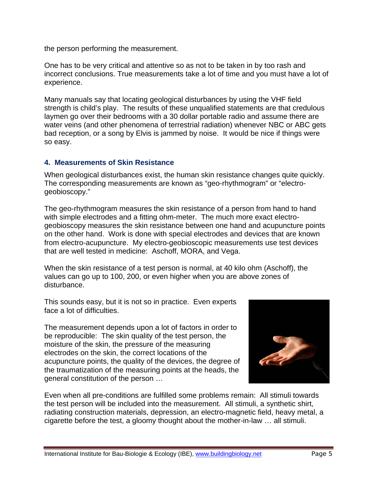the person performing the measurement.

One has to be very critical and attentive so as not to be taken in by too rash and incorrect conclusions. True measurements take a lot of time and you must have a lot of experience.

Many manuals say that locating geological disturbances by using the VHF field strength is child's play. The results of these unqualified statements are that credulous laymen go over their bedrooms with a 30 dollar portable radio and assume there are water veins (and other phenomena of terrestrial radiation) whenever NBC or ABC gets bad reception, or a song by Elvis is jammed by noise. It would be nice if things were so easy.

#### **4. Measurements of Skin Resistance**

When geological disturbances exist, the human skin resistance changes quite quickly. The corresponding measurements are known as "geo-rhythmogram" or "electrogeobioscopy."

The geo-rhythmogram measures the skin resistance of a person from hand to hand with simple electrodes and a fitting ohm-meter. The much more exact electrogeobioscopy measures the skin resistance between one hand and acupuncture points on the other hand. Work is done with special electrodes and devices that are known from electro-acupuncture. My electro-geobioscopic measurements use test devices that are well tested in medicine: Aschoff, MORA, and Vega.

When the skin resistance of a test person is normal, at 40 kilo ohm (Aschoff), the values can go up to 100, 200, or even higher when you are above zones of disturbance.

This sounds easy, but it is not so in practice. Even experts face a lot of difficulties.

The measurement depends upon a lot of factors in order to be reproducible: The skin quality of the test person, the moisture of the skin, the pressure of the measuring electrodes on the skin, the correct locations of the acupuncture points, the quality of the devices, the degree of the traumatization of the measuring points at the heads, the general constitution of the person …



Even when all pre-conditions are fulfilled some problems remain: All stimuli towards the test person will be included into the measurement. All stimuli, a synthetic shirt, radiating construction materials, depression, an electro-magnetic field, heavy metal, a cigarette before the test, a gloomy thought about the mother-in-law … all stimuli.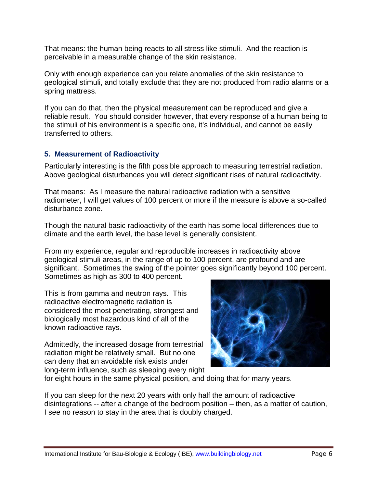That means: the human being reacts to all stress like stimuli. And the reaction is perceivable in a measurable change of the skin resistance.

Only with enough experience can you relate anomalies of the skin resistance to geological stimuli, and totally exclude that they are not produced from radio alarms or a spring mattress.

If you can do that, then the physical measurement can be reproduced and give a reliable result. You should consider however, that every response of a human being to the stimuli of his environment is a specific one, it's individual, and cannot be easily transferred to others.

#### **5. Measurement of Radioactivity**

Particularly interesting is the fifth possible approach to measuring terrestrial radiation. Above geological disturbances you will detect significant rises of natural radioactivity.

That means: As I measure the natural radioactive radiation with a sensitive radiometer, I will get values of 100 percent or more if the measure is above a so-called disturbance zone.

Though the natural basic radioactivity of the earth has some local differences due to climate and the earth level, the base level is generally consistent.

From my experience, regular and reproducible increases in radioactivity above geological stimuli areas, in the range of up to 100 percent, are profound and are significant. Sometimes the swing of the pointer goes significantly beyond 100 percent. Sometimes as high as 300 to 400 percent.

This is from gamma and neutron rays. This radioactive electromagnetic radiation is considered the most penetrating, strongest and biologically most hazardous kind of all of the known radioactive rays.

Admittedly, the increased dosage from terrestrial radiation might be relatively small. But no one can deny that an avoidable risk exists under long-term influence, such as sleeping every night



for eight hours in the same physical position, and doing that for many years.

If you can sleep for the next 20 years with only half the amount of radioactive disintegrations -- after a change of the bedroom position – then, as a matter of caution, I see no reason to stay in the area that is doubly charged.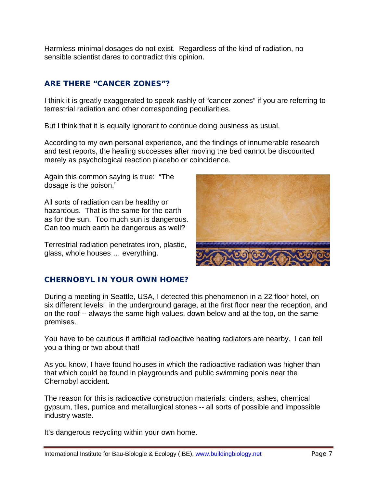Harmless minimal dosages do not exist. Regardless of the kind of radiation, no sensible scientist dares to contradict this opinion.

## **ARE THERE "CANCER ZONES"?**

I think it is greatly exaggerated to speak rashly of "cancer zones" if you are referring to terrestrial radiation and other corresponding peculiarities.

But I think that it is equally ignorant to continue doing business as usual.

According to my own personal experience, and the findings of innumerable research and test reports, the healing successes after moving the bed cannot be discounted merely as psychological reaction placebo or coincidence.

Again this common saying is true: "The dosage is the poison."

All sorts of radiation can be healthy or hazardous. That is the same for the earth as for the sun. Too much sun is dangerous. Can too much earth be dangerous as well?

Terrestrial radiation penetrates iron, plastic, glass, whole houses … everything.



### **CHERNOBYL IN YOUR OWN HOME?**

During a meeting in Seattle, USA, I detected this phenomenon in a 22 floor hotel, on six different levels: in the underground garage, at the first floor near the reception, and on the roof -- always the same high values, down below and at the top, on the same premises.

You have to be cautious if artificial radioactive heating radiators are nearby. I can tell you a thing or two about that!

As you know, I have found houses in which the radioactive radiation was higher than that which could be found in playgrounds and public swimming pools near the Chernobyl accident.

The reason for this is radioactive construction materials: cinders, ashes, chemical gypsum, tiles, pumice and metallurgical stones -- all sorts of possible and impossible industry waste.

It's dangerous recycling within your own home.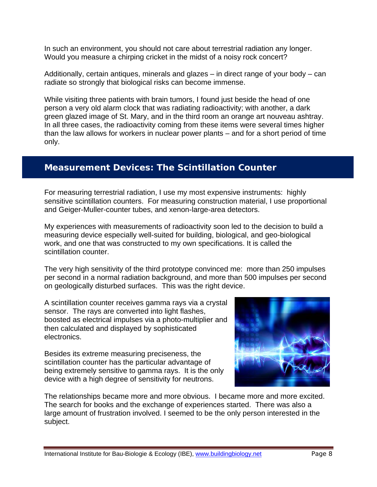In such an environment, you should not care about terrestrial radiation any longer. Would you measure a chirping cricket in the midst of a noisy rock concert?

Additionally, certain antiques, minerals and glazes – in direct range of your body – can radiate so strongly that biological risks can become immense.

While visiting three patients with brain tumors, I found just beside the head of one person a very old alarm clock that was radiating radioactivity; with another, a dark green glazed image of St. Mary, and in the third room an orange art nouveau ashtray. In all three cases, the radioactivity coming from these items were several times higher than the law allows for workers in nuclear power plants – and for a short period of time only.

## **Measurement Devices: The Scintillation Counter**

For measuring terrestrial radiation, I use my most expensive instruments: highly sensitive scintillation counters. For measuring construction material, I use proportional and Geiger-Muller-counter tubes, and xenon-large-area detectors.

My experiences with measurements of radioactivity soon led to the decision to build a measuring device especially well-suited for building, biological, and geo-biological work, and one that was constructed to my own specifications. It is called the scintillation counter.

The very high sensitivity of the third prototype convinced me: more than 250 impulses per second in a normal radiation background, and more than 500 impulses per second on geologically disturbed surfaces. This was the right device.

A scintillation counter receives gamma rays via a crystal sensor. The rays are converted into light flashes, boosted as electrical impulses via a photo-multiplier and then calculated and displayed by sophisticated electronics.

Besides its extreme measuring preciseness, the scintillation counter has the particular advantage of being extremely sensitive to gamma rays. It is the only device with a high degree of sensitivity for neutrons.



The relationships became more and more obvious. I became more and more excited. The search for books and the exchange of experiences started. There was also a large amount of frustration involved. I seemed to be the only person interested in the subject.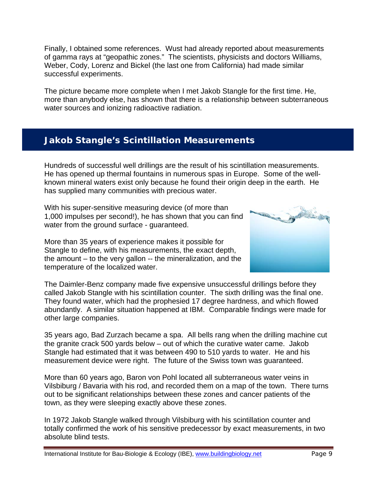Finally, I obtained some references. Wust had already reported about measurements of gamma rays at "geopathic zones." The scientists, physicists and doctors Williams, Weber, Cody, Lorenz and Bickel (the last one from California) had made similar successful experiments.

The picture became more complete when I met Jakob Stangle for the first time. He, more than anybody else, has shown that there is a relationship between subterraneous water sources and ionizing radioactive radiation.

## **Jakob Stangle's Scintillation Measurements**

Hundreds of successful well drillings are the result of his scintillation measurements. He has opened up thermal fountains in numerous spas in Europe. Some of the wellknown mineral waters exist only because he found their origin deep in the earth. He has supplied many communities with precious water.

With his super-sensitive measuring device (of more than 1,000 impulses per second!), he has shown that you can find water from the ground surface - guaranteed.

More than 35 years of experience makes it possible for Stangle to define, with his measurements, the exact depth, the amount – to the very gallon -- the mineralization, and the temperature of the localized water.



The Daimler-Benz company made five expensive unsuccessful drillings before they called Jakob Stangle with his scintillation counter. The sixth drilling was the final one. They found water, which had the prophesied 17 degree hardness, and which flowed abundantly. A similar situation happened at IBM. Comparable findings were made for other large companies.

35 years ago, Bad Zurzach became a spa. All bells rang when the drilling machine cut the granite crack 500 yards below – out of which the curative water came. Jakob Stangle had estimated that it was between 490 to 510 yards to water. He and his measurement device were right. The future of the Swiss town was guaranteed.

More than 60 years ago, Baron von Pohl located all subterraneous water veins in Vilsbiburg / Bavaria with his rod, and recorded them on a map of the town. There turns out to be significant relationships between these zones and cancer patients of the town, as they were sleeping exactly above these zones.

In 1972 Jakob Stangle walked through Vilsbiburg with his scintillation counter and totally confirmed the work of his sensitive predecessor by exact measurements, in two absolute blind tests.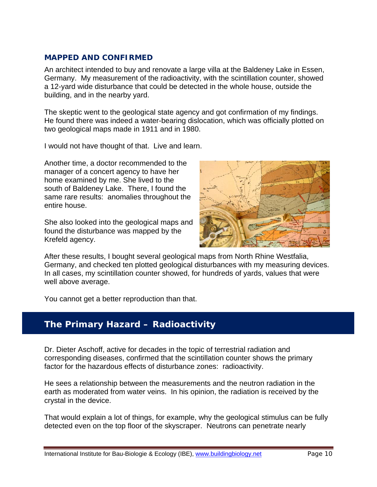#### **MAPPED AND CONFIRMED**

An architect intended to buy and renovate a large villa at the Baldeney Lake in Essen, Germany. My measurement of the radioactivity, with the scintillation counter, showed a 12-yard wide disturbance that could be detected in the whole house, outside the building, and in the nearby yard.

The skeptic went to the geological state agency and got confirmation of my findings. He found there was indeed a water-bearing dislocation, which was officially plotted on two geological maps made in 1911 and in 1980.

I would not have thought of that. Live and learn.

Another time, a doctor recommended to the manager of a concert agency to have her home examined by me. She lived to the south of Baldeney Lake. There, I found the same rare results: anomalies throughout the entire house.

She also looked into the geological maps and found the disturbance was mapped by the Krefeld agency.



After these results, I bought several geological maps from North Rhine Westfalia, Germany, and checked ten plotted geological disturbances with my measuring devices. In all cases, my scintillation counter showed, for hundreds of yards, values that were well above average.

You cannot get a better reproduction than that.

## **The Primary Hazard – Radioactivity**

Dr. Dieter Aschoff, active for decades in the topic of terrestrial radiation and corresponding diseases, confirmed that the scintillation counter shows the primary factor for the hazardous effects of disturbance zones: radioactivity.

He sees a relationship between the measurements and the neutron radiation in the earth as moderated from water veins. In his opinion, the radiation is received by the crystal in the device.

That would explain a lot of things, for example, why the geological stimulus can be fully detected even on the top floor of the skyscraper. Neutrons can penetrate nearly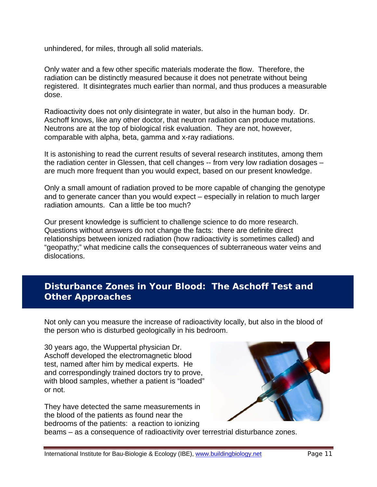unhindered, for miles, through all solid materials.

Only water and a few other specific materials moderate the flow. Therefore, the radiation can be distinctly measured because it does not penetrate without being registered. It disintegrates much earlier than normal, and thus produces a measurable dose.

Radioactivity does not only disintegrate in water, but also in the human body. Dr. Aschoff knows, like any other doctor, that neutron radiation can produce mutations. Neutrons are at the top of biological risk evaluation. They are not, however, comparable with alpha, beta, gamma and x-ray radiations.

It is astonishing to read the current results of several research institutes, among them the radiation center in Glessen, that cell changes -- from very low radiation dosages – are much more frequent than you would expect, based on our present knowledge.

Only a small amount of radiation proved to be more capable of changing the genotype and to generate cancer than you would expect – especially in relation to much larger radiation amounts. Can a little be too much?

Our present knowledge is sufficient to challenge science to do more research. Questions without answers do not change the facts: there are definite direct relationships between ionized radiation (how radioactivity is sometimes called) and "geopathy;" what medicine calls the consequences of subterraneous water veins and dislocations.

# **Disturbance Zones in Your Blood: The Aschoff Test and Other Approaches**

Not only can you measure the increase of radioactivity locally, but also in the blood of the person who is disturbed geologically in his bedroom.

30 years ago, the Wuppertal physician Dr. Aschoff developed the electromagnetic blood test, named after him by medical experts. He and correspondingly trained doctors try to prove, with blood samples, whether a patient is "loaded" or not.

They have detected the same measurements in the blood of the patients as found near the bedrooms of the patients: a reaction to ionizing



beams – as a consequence of radioactivity over terrestrial disturbance zones.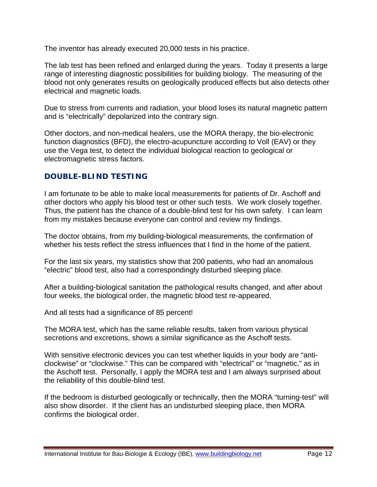The inventor has already executed 20,000 tests in his practice.

The lab test has been refined and enlarged during the years. Today it presents a large range of interesting diagnostic possibilities for building biology. The measuring of the blood not only generates results on geologically produced effects but also detects other electrical and magnetic loads.

Due to stress from currents and radiation, your blood loses its natural magnetic pattern and is "electrically" depolarized into the contrary sign.

Other doctors, and non-medical healers, use the MORA therapy, the bio-electronic function diagnostics (BFD), the electro-acupuncture according to Voll (EAV) or they use the Vega test, to detect the individual biological reaction to geological or electromagnetic stress factors.

### **DOUBLE-BLIND TESTING**

I am fortunate to be able to make local measurements for patients of Dr. Aschoff and other doctors who apply his blood test or other such tests. We work closely together. Thus, the patient has the chance of a double-blind test for his own safety. I can learn from my mistakes because everyone can control and review my findings.

The doctor obtains, from my building-biological measurements, the confirmation of whether his tests reflect the stress influences that I find in the home of the patient.

For the last six years, my statistics show that 200 patients, who had an anomalous "electric" blood test, also had a correspondingly disturbed sleeping place.

After a building-biological sanitation the pathological results changed, and after about four weeks, the biological order, the magnetic blood test re-appeared.

And all tests had a significance of 85 percent!

The MORA test, which has the same reliable results, taken from various physical secretions and excretions, shows a similar significance as the Aschoff tests.

With sensitive electronic devices you can test whether liquids in your body are "anticlockwise" or "clockwise." This can be compared with "electrical" or "magnetic," as in the Aschoff test. Personally, I apply the MORA test and I am always surprised about the reliability of this double-blind test.

If the bedroom is disturbed geologically or technically, then the MORA "turning-test" will also show disorder. If the client has an undisturbed sleeping place, then MORA confirms the biological order.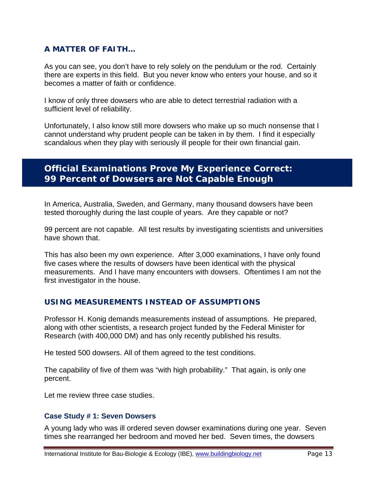### **A MATTER OF FAITH…**

As you can see, you don't have to rely solely on the pendulum or the rod. Certainly there are experts in this field. But you never know who enters your house, and so it becomes a matter of faith or confidence.

I know of only three dowsers who are able to detect terrestrial radiation with a sufficient level of reliability.

Unfortunately, I also know still more dowsers who make up so much nonsense that I cannot understand why prudent people can be taken in by them. I find it especially scandalous when they play with seriously ill people for their own financial gain.

## **Official Examinations Prove My Experience Correct: 99 Percent of Dowsers are Not Capable Enough**

In America, Australia, Sweden, and Germany, many thousand dowsers have been tested thoroughly during the last couple of years. Are they capable or not?

99 percent are not capable. All test results by investigating scientists and universities have shown that.

This has also been my own experience. After 3,000 examinations, I have only found five cases where the results of dowsers have been identical with the physical measurements. And I have many encounters with dowsers. Oftentimes I am not the first investigator in the house.

#### **USING MEASUREMENTS INSTEAD OF ASSUMPTIONS**

Professor H. Konig demands measurements instead of assumptions. He prepared, along with other scientists, a research project funded by the Federal Minister for Research (with 400,000 DM) and has only recently published his results.

He tested 500 dowsers. All of them agreed to the test conditions.

The capability of five of them was "with high probability." That again, is only one percent.

Let me review three case studies.

#### **Case Study # 1: Seven Dowsers**

A young lady who was ill ordered seven dowser examinations during one year. Seven times she rearranged her bedroom and moved her bed. Seven times, the dowsers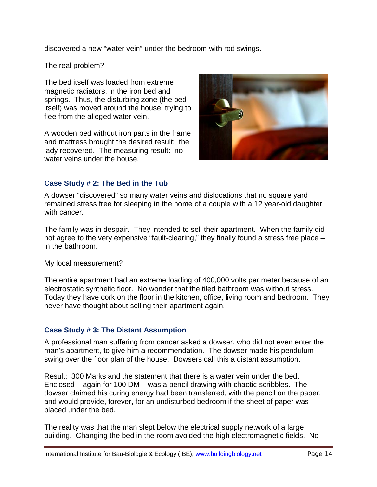discovered a new "water vein" under the bedroom with rod swings.

The real problem?

The bed itself was loaded from extreme magnetic radiators, in the iron bed and springs. Thus, the disturbing zone (the bed itself) was moved around the house, trying to flee from the alleged water vein.

A wooden bed without iron parts in the frame and mattress brought the desired result: the lady recovered. The measuring result: no water veins under the house.



#### **Case Study # 2: The Bed in the Tub**

A dowser "discovered" so many water veins and dislocations that no square yard remained stress free for sleeping in the home of a couple with a 12 year-old daughter with cancer.

The family was in despair. They intended to sell their apartment. When the family did not agree to the very expensive "fault-clearing," they finally found a stress free place – in the bathroom.

My local measurement?

The entire apartment had an extreme loading of 400,000 volts per meter because of an electrostatic synthetic floor. No wonder that the tiled bathroom was without stress. Today they have cork on the floor in the kitchen, office, living room and bedroom. They never have thought about selling their apartment again.

#### **Case Study # 3: The Distant Assumption**

A professional man suffering from cancer asked a dowser, who did not even enter the man's apartment, to give him a recommendation. The dowser made his pendulum swing over the floor plan of the house. Dowsers call this a distant assumption.

Result: 300 Marks and the statement that there is a water vein under the bed. Enclosed – again for 100 DM – was a pencil drawing with chaotic scribbles. The dowser claimed his curing energy had been transferred, with the pencil on the paper, and would provide, forever, for an undisturbed bedroom if the sheet of paper was placed under the bed.

The reality was that the man slept below the electrical supply network of a large building. Changing the bed in the room avoided the high electromagnetic fields. No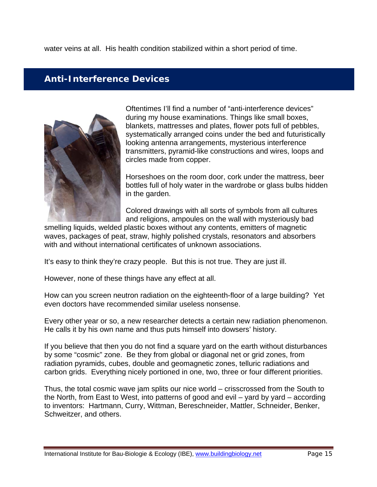water veins at all. His health condition stabilized within a short period of time.

## **Anti-Interference Devices**



Oftentimes I'll find a number of "anti-interference devices" during my house examinations. Things like small boxes, blankets, mattresses and plates, flower pots full of pebbles, systematically arranged coins under the bed and futuristically looking antenna arrangements, mysterious interference transmitters, pyramid-like constructions and wires, loops and circles made from copper.

Horseshoes on the room door, cork under the mattress, beer bottles full of holy water in the wardrobe or glass bulbs hidden in the garden.

Colored drawings with all sorts of symbols from all cultures and religions, ampoules on the wall with mysteriously bad

smelling liquids, welded plastic boxes without any contents, emitters of magnetic waves, packages of peat, straw, highly polished crystals, resonators and absorbers with and without international certificates of unknown associations.

It's easy to think they're crazy people. But this is not true. They are just ill.

However, none of these things have any effect at all.

How can you screen neutron radiation on the eighteenth-floor of a large building? Yet even doctors have recommended similar useless nonsense.

Every other year or so, a new researcher detects a certain new radiation phenomenon. He calls it by his own name and thus puts himself into dowsers' history.

If you believe that then you do not find a square yard on the earth without disturbances by some "cosmic" zone. Be they from global or diagonal net or grid zones, from radiation pyramids, cubes, double and geomagnetic zones, telluric radiations and carbon grids. Everything nicely portioned in one, two, three or four different priorities.

Thus, the total cosmic wave jam splits our nice world – crisscrossed from the South to the North, from East to West, into patterns of good and evil – yard by yard – according to inventors: Hartmann, Curry, Wittman, Bereschneider, Mattler, Schneider, Benker, Schweitzer, and others.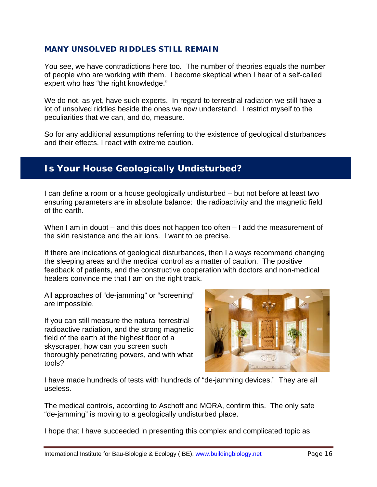#### **MANY UNSOLVED RIDDLES STILL REMAIN**

You see, we have contradictions here too. The number of theories equals the number of people who are working with them. I become skeptical when I hear of a self-called expert who has "the right knowledge."

We do not, as yet, have such experts. In regard to terrestrial radiation we still have a lot of unsolved riddles beside the ones we now understand. I restrict myself to the peculiarities that we can, and do, measure.

So for any additional assumptions referring to the existence of geological disturbances and their effects, I react with extreme caution.

## **Is Your House Geologically Undisturbed?**

I can define a room or a house geologically undisturbed – but not before at least two ensuring parameters are in absolute balance: the radioactivity and the magnetic field of the earth.

When I am in doubt – and this does not happen too often – I add the measurement of the skin resistance and the air ions. I want to be precise.

If there are indications of geological disturbances, then I always recommend changing the sleeping areas and the medical control as a matter of caution. The positive feedback of patients, and the constructive cooperation with doctors and non-medical healers convince me that I am on the right track.

All approaches of "de-jamming" or "screening" are impossible.

If you can still measure the natural terrestrial radioactive radiation, and the strong magnetic field of the earth at the highest floor of a skyscraper, how can you screen such thoroughly penetrating powers, and with what tools?



I have made hundreds of tests with hundreds of "de-jamming devices." They are all useless.

The medical controls, according to Aschoff and MORA, confirm this. The only safe "de-jamming" is moving to a geologically undisturbed place.

I hope that I have succeeded in presenting this complex and complicated topic as